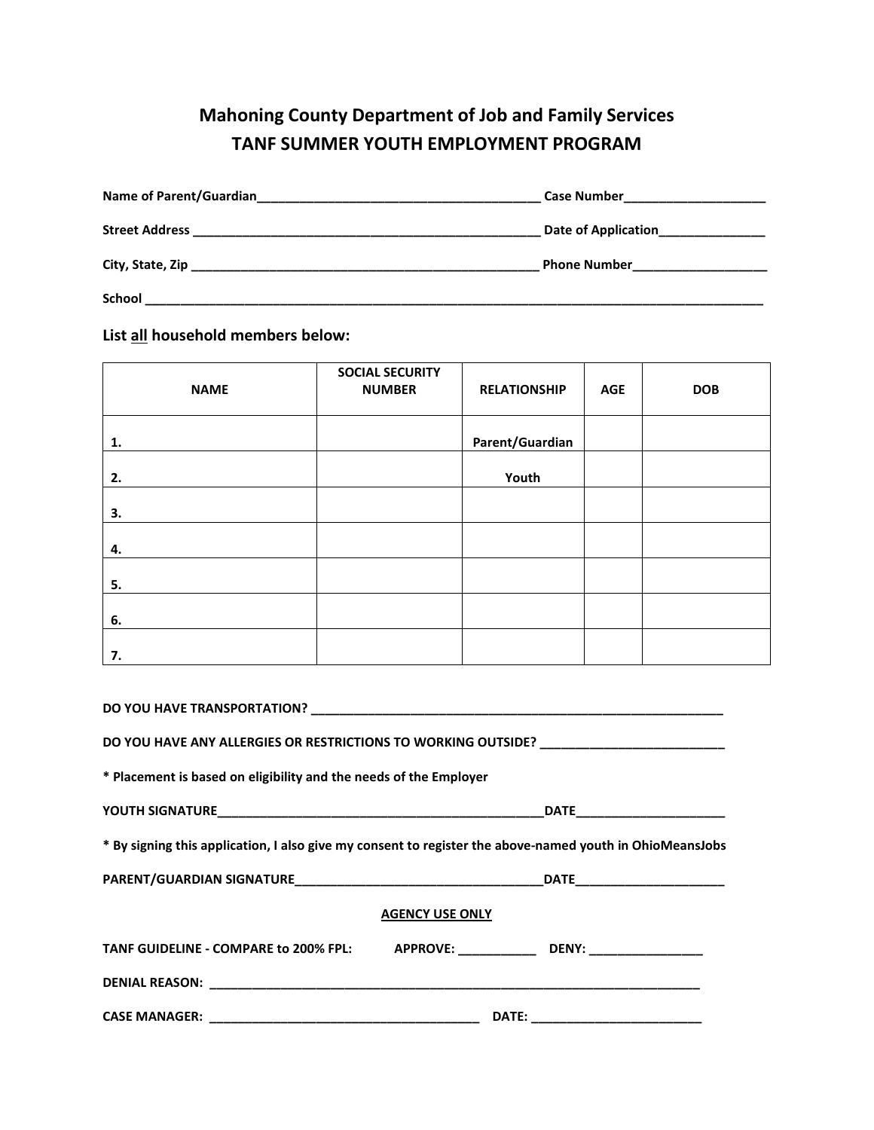## **Mahoning County Department of Job and Family Services TANF SUMMER YOUTH EMPLOYMENT PROGRAM**

| Name of Parent/Guardian<br><u> 1980 - John Stone, Amerikaansk politiker (</u> † 1920) | Case Number <u>_________________</u>              |
|---------------------------------------------------------------------------------------|---------------------------------------------------|
| <b>Street Address</b>                                                                 | Date of Application<br><u>Date</u> of Application |
|                                                                                       | <b>Phone Number</b>                               |
|                                                                                       |                                                   |
| <b>School</b>                                                                         |                                                   |

**List all household members below:**

| <b>NAME</b> | <b>SOCIAL SECURITY</b><br><b>NUMBER</b> | <b>RELATIONSHIP</b> | <b>AGE</b> | <b>DOB</b> |
|-------------|-----------------------------------------|---------------------|------------|------------|
| 1.          |                                         | Parent/Guardian     |            |            |
| 2.          |                                         | Youth               |            |            |
| 3.          |                                         |                     |            |            |
| 4.          |                                         |                     |            |            |
| 5.          |                                         |                     |            |            |
| 6.          |                                         |                     |            |            |
| 7.          |                                         |                     |            |            |

|                                                                   | DO YOU HAVE ANY ALLERGIES OR RESTRICTIONS TO WORKING OUTSIDE? __________________                         |
|-------------------------------------------------------------------|----------------------------------------------------------------------------------------------------------|
| * Placement is based on eligibility and the needs of the Employer |                                                                                                          |
|                                                                   |                                                                                                          |
|                                                                   | * By signing this application, I also give my consent to register the above-named youth in OhioMeansJobs |
|                                                                   |                                                                                                          |
|                                                                   | <b>AGENCY USE ONLY</b>                                                                                   |
|                                                                   | TANF GUIDELINE - COMPARE to 200% FPL: APPROVE: ______________DENY: _____________                         |
|                                                                   |                                                                                                          |
|                                                                   |                                                                                                          |